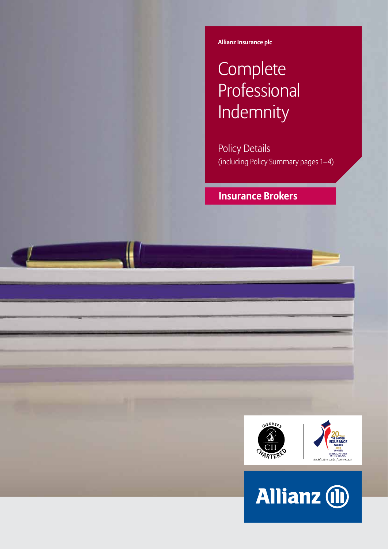**Allianz Insurance plc**

# **Complete** Professional Indemnity

Policy Details (including Policy Summary pages 1–4)

 **Insurance Brokers**



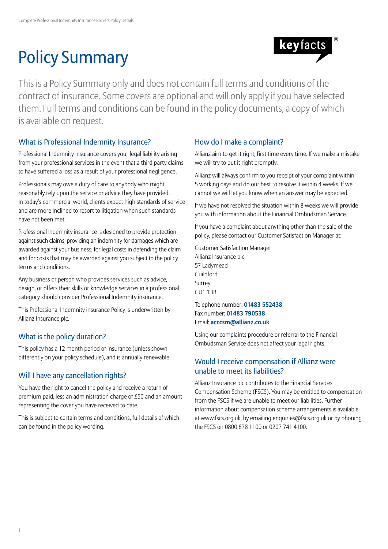# Policy Summary



This is a Policy Summary only and does not contain full terms and conditions of the contract of insurance. Some covers are optional and will only apply if you have selected them. Full terms and conditions can be found in the policy documents, a copy of which is available on request.

# What is Professional Indemnity Insurance?

Professional Indemnity insurance covers your legal liability arising from your professional services in the event that a third party claims to have suffered a loss as a result of your professional negligence.

Professionals may owe a duty of care to anybody who might reasonably rely upon the service or advice they have provided. In today's commercial world, clients expect high standards of service and are more inclined to resort to litigation when such standards have not been met.

Professional Indemnity insurance is designed to provide protection against such claims, providing an indemnity for damages which are awarded against your business, for legal costs in defending the claim and for costs that may be awarded against you subject to the policy terms and conditions.

Any business or person who provides services such as advice, design, or offers their skills or knowledge services in a professional category should consider Professional Indemnity insurance.

This Professional Indemnity insurance Policy is underwritten by Allianz Insurance plc.

# What is the policy duration?

This policy has a 12 month period of insurance (unless shown differently on your policy schedule), and is annually renewable.

# Will I have any cancellation rights?

You have the right to cancel the policy and receive a return of premium paid, less an administration charge of £50 and an amount representing the cover you have received to date.

This is subject to certain terms and conditions, full details of which can be found in the policy wording.

## How do I make a complaint?

Allianz aim to get it right, first time every time. If we make a mistake we will try to put it right promptly.

Allianz will always confirm to you receipt of your complaint within 5 working days and do our best to resolve it within 4 weeks. If we cannot we will let you know when an answer may be expected.

If we have not resolved the situation within 8 weeks we will provide you with information about the Financial Ombudsman Service.

If you have a complaint about anything other than the sale of the policy, please contact our Customer Satisfaction Manager at:

Customer Satisfaction Manager Allianz Insurance plc 57 Ladymead Guildford Surrey GU1 1DB

Telephone number: **01483 552438** Fax number: **01483 790538** Email: **acccsm@allianz.co.uk**

Using our complaints procedure or referral to the Financial Ombudsman Service does not affect your legal rights.

## Would I receive compensation if Allianz were unable to meet its liabilities?

Allianz Insurance plc contributes to the Financial Services Compensation Scheme (FSCS). You may be entitled to compensation from the FSCS if we are unable to meet our liabilities. Further information about compensation scheme arrangements is available at www.fscs.org.uk, by emailing enquiries@fscs.org.uk or by phoning the FSCS on 0800 678 1100 or 0207 741 4100.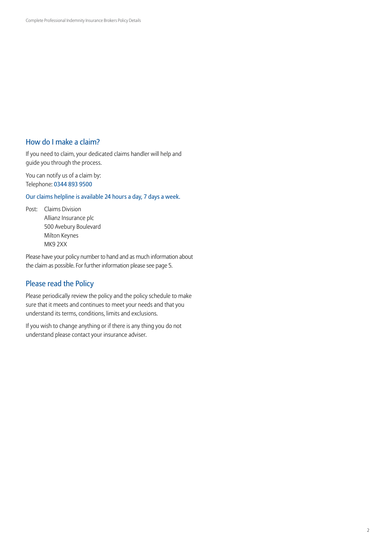## How do I make a claim?

If you need to claim, your dedicated claims handler will help and guide you through the process.

You can notify us of a claim by: Telephone: 0344 893 9500

Our claims helpline is available 24 hours a day, 7 days a week.

Post: Claims Division Allianz Insurance plc 500 Avebury Boulevard Milton Keynes MK9 2XX

Please have your policy number to hand and as much information about the claim as possible. For further information please see page 5.

## Please read the Policy

Please periodically review the policy and the policy schedule to make sure that it meets and continues to meet your needs and that you understand its terms, conditions, limits and exclusions.

If you wish to change anything or if there is any thing you do not understand please contact your insurance adviser.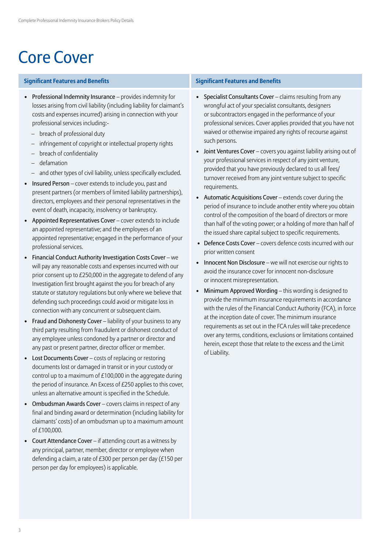# Core Cover

### **Significant Features and Benefits Significant Features and Benefits**

- Professional Indemnity Insurance provides indemnity for losses arising from civil liability (including liability for claimant's costs and expenses incurred) arising in connection with your professional services including:-
	- breach of professional duty
	- infringement of copyright or intellectual property rights
	- breach of confidentiality
	- defamation
	- and other types of civil liability, unless specifically excluded.
- Insured Person cover extends to include you, past and present partners (or members of limited liability partnerships), directors, employees and their personal representatives in the event of death, incapacity, insolvency or bankruptcy.
- Appointed Representatives Cover cover extends to include an appointed representative; and the employees of an appointed representative; engaged in the performance of your professional services.
- Financial Conduct Authority Investigation Costs Cover we will pay any reasonable costs and expenses incurred with our prior consent up to £250,000 in the aggregate to defend of any Investigation first brought against the you for breach of any statute or statutory regulations but only where we believe that defending such proceedings could avoid or mitigate loss in connection with any concurrent or subsequent claim.
- Fraud and Dishonesty Cover liability of your business to any third party resulting from fraudulent or dishonest conduct of any employee unless condoned by a partner or director and any past or present partner, director officer or member.
- Lost Documents Cover costs of replacing or restoring documents lost or damaged in transit or in your custody or control up to a maximum of £100,000 in the aggregate during the period of insurance. An Excess of £250 applies to this cover, unless an alternative amount is specified in the Schedule.
- Ombudsman Awards Cover covers claims in respect of any final and binding award or determination (including liability for claimants' costs) of an ombudsman up to a maximum amount of £100,000.
- Court Attendance Cover if attending court as a witness by any principal, partner, member, director or employee when defending a claim, a rate of £300 per person per day (£150 per person per day for employees) is applicable.

- Specialist Consultants Cover claims resulting from any wrongful act of your specialist consultants, designers or subcontractors engaged in the performance of your professional services. Cover applies provided that you have not waived or otherwise impaired any rights of recourse against such persons.
- Joint Ventures Cover covers you against liability arising out of your professional services in respect of any joint venture, provided that you have previously declared to us all fees/ turnover received from any joint venture subject to specific requirements.
- Automatic Acquisitions Cover extends cover during the period of insurance to include another entity where you obtain control of the composition of the board of directors or more than half of the voting power; or a holding of more than half of the issued share capital subject to specific requirements.
- Defence Costs Cover covers defence costs incurred with our prior written consent
- Innocent Non Disclosure we will not exercise our rights to avoid the insurance cover for innocent non-disclosure or innocent misrepresentation.
- Minimum Approved Wording this wording is designed to provide the minimum insurance requirements in accordance with the rules of the Financial Conduct Authority (FCA), in force at the inception date of cover. The minimum insurance requirements as set out in the FCA rules will take precedence over any terms, conditions, exclusions or limitations contained herein, except those that relate to the excess and the Limit of Liability.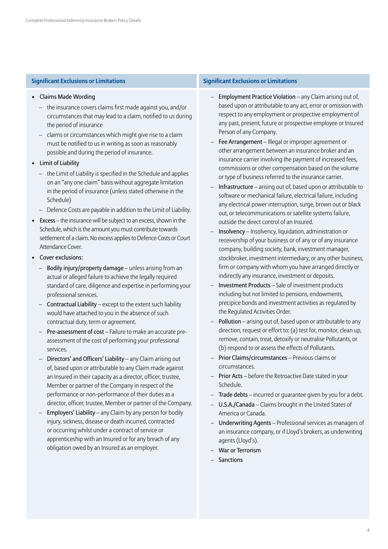- Claims Made Wording
	- the insurance covers claims first made against you, and/or circumstances that may lead to a claim, notified to us during the period of insurance
	- claims or circumstances which might give rise to a claim must be notified to us in writing as soon as reasonably possible and during the period of insurance.
- Limit of Liability
	- the Limit of Liability is specified in the Schedule and applies on an "any one claim" basis without aggregate limitation in the period of insurance (unless stated otherwise in the Schedule)
	- Defence Costs are payable in addition to the Limit of Liability.
- Excess the insurance will be subject to an excess, shown in the Schedule, which is the amount you must contribute towards settlement of a claim. No excess applies to Defence Costs or Court Attendance Cover.
- Cover exclusions:
	- Bodily injury/property damage unless arising from an actual or alleged failure to achieve the legally required standard of care, diligence and expertise in performing your professional services.
	- Contractual Liability except to the extent such liability would have attached to you in the absence of such contractual duty, term or agreement.
	- Pre-assessment of cost Failure to make an accurate preassessment of the cost of performing your professional services.
	- Directors' and Officers' Liability any Claim arising out of, based upon or attributable to any Claim made against an Insured in their capacity as a director, officer, trustee, Member or partner of the Company in respect of the performance or non-performance of their duties as a director, officer, trustee, Member or partner of the Company.
	- Employers' Liability any Claim by any person for bodily injury, sickness, disease or death incurred, contracted or occurring whilst under a contract of service or apprenticeship with an Insured or for any breach of any obligation owed by an Insured as an employer.

### **Significant Exclusions or Limitations Significant Exclusions or Limitations**

- Employment Practice Violation any Claim arising out of, based upon or attributable to any act, error or omission with respect to any employment or prospective employment of any past, present, future or prospective employee or Insured Person of any Company.
- Fee Arrangement Illegal or improper agreement or other arrangement between an insurance broker and an insurance carrier involving the payment of increased fees, commissions or other compensation based on the volume or type of business referred to the insurance carrier.
- Infrastructure arising out of, based upon or attributable to software or mechanical failure, electrical failure, including any electrical power interruption, surge, brown out or black out, or telecommunications or satellite systems failure, outside the direct control of an Insured.
- Insolvency Insolvency, liquidation, administration or receivership of your business or of any or of any insurance company, building society, bank, investment manager, stockbroker, investment intermediary, or any other business, firm or company with whom you have arranged directly or indirectly any insurance, investment or deposits.
- Investment Products Sale of investment products including but not limited to pensions, endowments, precipice bonds and investment activities as regulated by the Regulated Activities Order.
- Pollution arising out of, based upon or attributable to any direction, request or effort to: (a) test for, monitor, clean up, remove, contain, treat, detoxify or neutralise Pollutants, or (b) respond to or assess the effects of Pollutants.
- Prior Claims/circumstances Previous claims or circumstances.
- Prior Acts before the Retroactive Date stated in your Schedule.
- Trade debts incurred or quarantee given by you for a debt.
- U.S.A./Canada Claims brought in the United States of America or Canada.
- Underwriting Agents Professional services as managers of an insurance company, or if Lloyd's brokers, as underwriting agents (Lloyd's).
- War or Terrorism
- **Sanctions**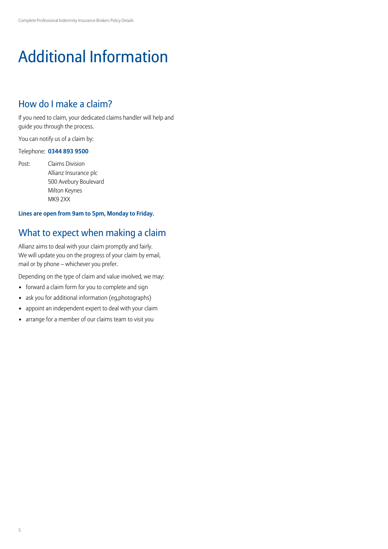# Additional Information

# How do I make a claim?

If you need to claim, your dedicated claims handler will help and guide you through the process.

You can notify us of a claim by:

### Telephone: **0344 893 9500**

Post: Claims Division Allianz Insurance plc 500 Avebury Boulevard Milton Keynes MK9 2XX

### **Lines are open from 9am to 5pm, Monday to Friday.**

# What to expect when making a claim

Allianz aims to deal with your claim promptly and fairly. We will update you on the progress of your claim by email, mail or by phone – whichever you prefer.

Depending on the type of claim and value involved, we may:

- forward a claim form for you to complete and sign
- ask you for additional information (eg,photographs)
- appoint an independent expert to deal with your claim
- arrange for a member of our claims team to visit you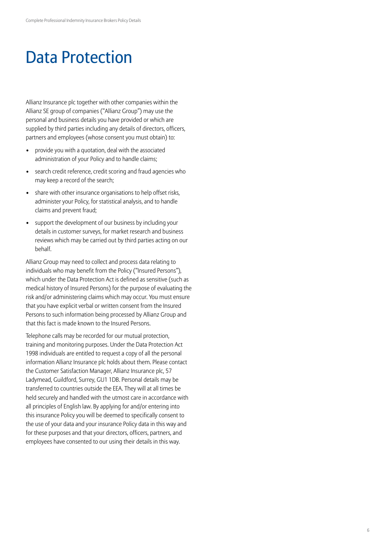# Data Protection

Allianz Insurance plc together with other companies within the Allianz SE group of companies ("Allianz Group") may use the personal and business details you have provided or which are supplied by third parties including any details of directors, officers, partners and employees (whose consent you must obtain) to:

- provide you with a quotation, deal with the associated administration of your Policy and to handle claims;
- search credit reference, credit scoring and fraud agencies who may keep a record of the search;
- share with other insurance organisations to help offset risks, administer your Policy, for statistical analysis, and to handle claims and prevent fraud;
- support the development of our business by including your details in customer surveys, for market research and business reviews which may be carried out by third parties acting on our behalf.

Allianz Group may need to collect and process data relating to individuals who may benefit from the Policy ("Insured Persons"), which under the Data Protection Act is defined as sensitive (such as medical history of Insured Persons) for the purpose of evaluating the risk and/or administering claims which may occur. You must ensure that you have explicit verbal or written consent from the Insured Persons to such information being processed by Allianz Group and that this fact is made known to the Insured Persons.

Telephone calls may be recorded for our mutual protection, training and monitoring purposes. Under the Data Protection Act 1998 individuals are entitled to request a copy of all the personal information Allianz Insurance plc holds about them. Please contact the Customer Satisfaction Manager, Allianz Insurance plc, 57 Ladymead, Guildford, Surrey, GU1 1DB. Personal details may be transferred to countries outside the EEA. They will at all times be held securely and handled with the utmost care in accordance with all principles of English law. By applying for and/or entering into this insurance Policy you will be deemed to specifically consent to the use of your data and your insurance Policy data in this way and for these purposes and that your directors, officers, partners, and employees have consented to our using their details in this way.